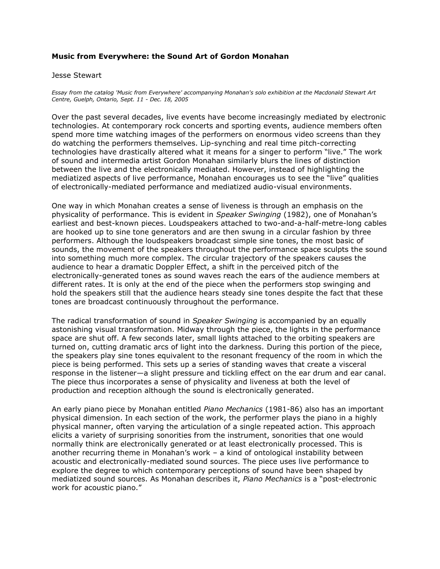## **Music from Everywhere: the Sound Art of Gordon Monahan**

## Jesse Stewart

*Essay from the catalog 'Music from Everywhere' accompanying Monahan's solo exhibition at the Macdonald Stewart Art Centre, Guelph, Ontario, Sept. 11 - Dec. 18, 2005*

Over the past several decades, live events have become increasingly mediated by electronic technologies. At contemporary rock concerts and sporting events, audience members often spend more time watching images of the performers on enormous video screens than they do watching the performers themselves. Lip-synching and real time pitch-correcting technologies have drastically altered what it means for a singer to perform "live." The work of sound and intermedia artist Gordon Monahan similarly blurs the lines of distinction between the live and the electronically mediated. However, instead of highlighting the mediatized aspects of live performance, Monahan encourages us to see the "live" qualities of electronically-mediated performance and mediatized audio-visual environments.

One way in which Monahan creates a sense of liveness is through an emphasis on the physicality of performance. This is evident in *Speaker Swinging* (1982), one of Monahan's earliest and best-known pieces. Loudspeakers attached to two-and-a-half-metre-long cables are hooked up to sine tone generators and are then swung in a circular fashion by three performers. Although the loudspeakers broadcast simple sine tones, the most basic of sounds, the movement of the speakers throughout the performance space sculpts the sound into something much more complex. The circular trajectory of the speakers causes the audience to hear a dramatic Doppler Effect, a shift in the perceived pitch of the electronically-generated tones as sound waves reach the ears of the audience members at different rates. It is only at the end of the piece when the performers stop swinging and hold the speakers still that the audience hears steady sine tones despite the fact that these tones are broadcast continuously throughout the performance.

The radical transformation of sound in *Speaker Swinging* is accompanied by an equally astonishing visual transformation. Midway through the piece, the lights in the performance space are shut off. A few seconds later, small lights attached to the orbiting speakers are turned on, cutting dramatic arcs of light into the darkness. During this portion of the piece, the speakers play sine tones equivalent to the resonant frequency of the room in which the piece is being performed. This sets up a series of standing waves that create a visceral response in the listener—a slight pressure and tickling effect on the ear drum and ear canal. The piece thus incorporates a sense of physicality and liveness at both the level of production and reception although the sound is electronically generated.

An early piano piece by Monahan entitled *Piano Mechanics* (1981-86) also has an important physical dimension. In each section of the work, the performer plays the piano in a highly physical manner, often varying the articulation of a single repeated action. This approach elicits a variety of surprising sonorities from the instrument, sonorities that one would normally think are electronically generated or at least electronically processed. This is another recurring theme in Monahan's work – a kind of ontological instability between acoustic and electronically-mediated sound sources. The piece uses live performance to explore the degree to which contemporary perceptions of sound have been shaped by mediatized sound sources. As Monahan describes it, *Piano Mechanics* is a "post-electronic work for acoustic piano."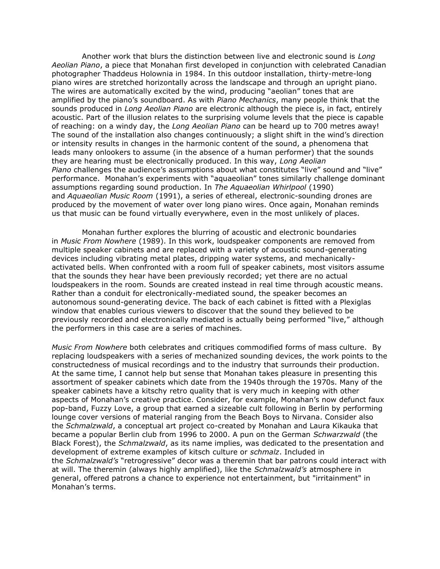Another work that blurs the distinction between live and electronic sound is *Long Aeolian Piano*, a piece that Monahan first developed in conjunction with celebrated Canadian photographer Thaddeus Holownia in 1984. In this outdoor installation, thirty-metre-long piano wires are stretched horizontally across the landscape and through an upright piano. The wires are automatically excited by the wind, producing "aeolian" tones that are amplified by the piano's soundboard. As with *Piano Mechanics*, many people think that the sounds produced in *Long Aeolian Piano* are electronic although the piece is, in fact, entirely acoustic. Part of the illusion relates to the surprising volume levels that the piece is capable of reaching: on a windy day, the *Long Aeolian Piano* can be heard up to 700 metres away! The sound of the installation also changes continuously; a slight shift in the wind's direction or intensity results in changes in the harmonic content of the sound, a phenomena that leads many onlookers to assume (in the absence of a human performer) that the sounds they are hearing must be electronically produced. In this way, *Long Aeolian Piano* challenges the audience's assumptions about what constitutes "live" sound and "live" performance. Monahan's experiments with "aquaeolian" tones similarly challenge dominant assumptions regarding sound production. In *The Aquaeolian Whirlpool* (1990) and *Aquaeolian Music Room* (1991), a series of ethereal, electronic-sounding drones are produced by the movement of water over long piano wires. Once again, Monahan reminds us that music can be found virtually everywhere, even in the most unlikely of places.

 Monahan further explores the blurring of acoustic and electronic boundaries in *Music From Nowhere* (1989). In this work, loudspeaker components are removed from multiple speaker cabinets and are replaced with a variety of acoustic sound-generating devices including vibrating metal plates, dripping water systems, and mechanicallyactivated bells. When confronted with a room full of speaker cabinets, most visitors assume that the sounds they hear have been previously recorded; yet there are no actual loudspeakers in the room. Sounds are created instead in real time through acoustic means. Rather than a conduit for electronically-mediated sound, the speaker becomes an autonomous sound-generating device. The back of each cabinet is fitted with a Plexiglas window that enables curious viewers to discover that the sound they believed to be previously recorded and electronically mediated is actually being performed "live," although the performers in this case are a series of machines.

*Music From Nowhere* both celebrates and critiques commodified forms of mass culture. By replacing loudspeakers with a series of mechanized sounding devices, the work points to the constructedness of musical recordings and to the industry that surrounds their production. At the same time, I cannot help but sense that Monahan takes pleasure in presenting this assortment of speaker cabinets which date from the 1940s through the 1970s. Many of the speaker cabinets have a kitschy retro quality that is very much in keeping with other aspects of Monahan's creative practice. Consider, for example, Monahan's now defunct faux pop-band, Fuzzy Love, a group that earned a sizeable cult following in Berlin by performing lounge cover versions of material ranging from the Beach Boys to Nirvana. Consider also the *Schmalzwald*, a conceptual art project co-created by Monahan and Laura Kikauka that became a popular Berlin club from 1996 to 2000. A pun on the German *Schwarzwald* (the Black Forest), the *Schmalzwald*, as its name implies, was dedicated to the presentation and development of extreme examples of kitsch culture or *schmalz*. Included in the *Schmalzwald's* "retrogressive" decor was a theremin that bar patrons could interact with at will. The theremin (always highly amplified), like the *Schmalzwald's* atmosphere in general, offered patrons a chance to experience not entertainment, but "irritainment" in Monahan's terms.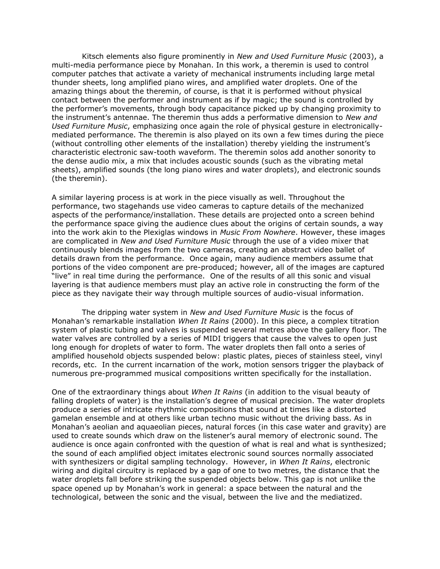Kitsch elements also figure prominently in *New and Used Furniture Music* (2003), a multi-media performance piece by Monahan. In this work, a theremin is used to control computer patches that activate a variety of mechanical instruments including large metal thunder sheets, long amplified piano wires, and amplified water droplets. One of the amazing things about the theremin, of course, is that it is performed without physical contact between the performer and instrument as if by magic; the sound is controlled by the performer's movements, through body capacitance picked up by changing proximity to the instrument's antennae. The theremin thus adds a performative dimension to *New and Used Furniture Music*, emphasizing once again the role of physical gesture in electronicallymediated performance. The theremin is also played on its own a few times during the piece (without controlling other elements of the installation) thereby yielding the instrument's characteristic electronic saw-tooth waveform. The theremin solos add another sonority to the dense audio mix, a mix that includes acoustic sounds (such as the vibrating metal sheets), amplified sounds (the long piano wires and water droplets), and electronic sounds (the theremin).

A similar layering process is at work in the piece visually as well. Throughout the performance, two stagehands use video cameras to capture details of the mechanized aspects of the performance/installation. These details are projected onto a screen behind the performance space giving the audience clues about the origins of certain sounds, a way into the work akin to the Plexiglas windows in *Music From Nowhere*. However, these images are complicated in *New and Used Furniture Music* through the use of a video mixer that continuously blends images from the two cameras, creating an abstract video ballet of details drawn from the performance. Once again, many audience members assume that portions of the video component are pre-produced; however, all of the images are captured "live" in real time during the performance. One of the results of all this sonic and visual layering is that audience members must play an active role in constructing the form of the piece as they navigate their way through multiple sources of audio-visual information.

 The dripping water system in *New and Used Furniture Music* is the focus of Monahan's remarkable installation *When It Rains* (2000). In this piece, a complex titration system of plastic tubing and valves is suspended several metres above the gallery floor. The water valves are controlled by a series of MIDI triggers that cause the valves to open just long enough for droplets of water to form. The water droplets then fall onto a series of amplified household objects suspended below: plastic plates, pieces of stainless steel, vinyl records, etc. In the current incarnation of the work, motion sensors trigger the playback of numerous pre-programmed musical compositions written specifically for the installation.

One of the extraordinary things about *When It Rains* (in addition to the visual beauty of falling droplets of water) is the installation's degree of musical precision. The water droplets produce a series of intricate rhythmic compositions that sound at times like a distorted gamelan ensemble and at others like urban techno music without the driving bass. As in Monahan's aeolian and aquaeolian pieces, natural forces (in this case water and gravity) are used to create sounds which draw on the listener's aural memory of electronic sound. The audience is once again confronted with the question of what is real and what is synthesized; the sound of each amplified object imitates electronic sound sources normally associated with synthesizers or digital sampling technology. However, in *When It Rains*, electronic wiring and digital circuitry is replaced by a gap of one to two metres, the distance that the water droplets fall before striking the suspended objects below. This gap is not unlike the space opened up by Monahan's work in general: a space between the natural and the technological, between the sonic and the visual, between the live and the mediatized.